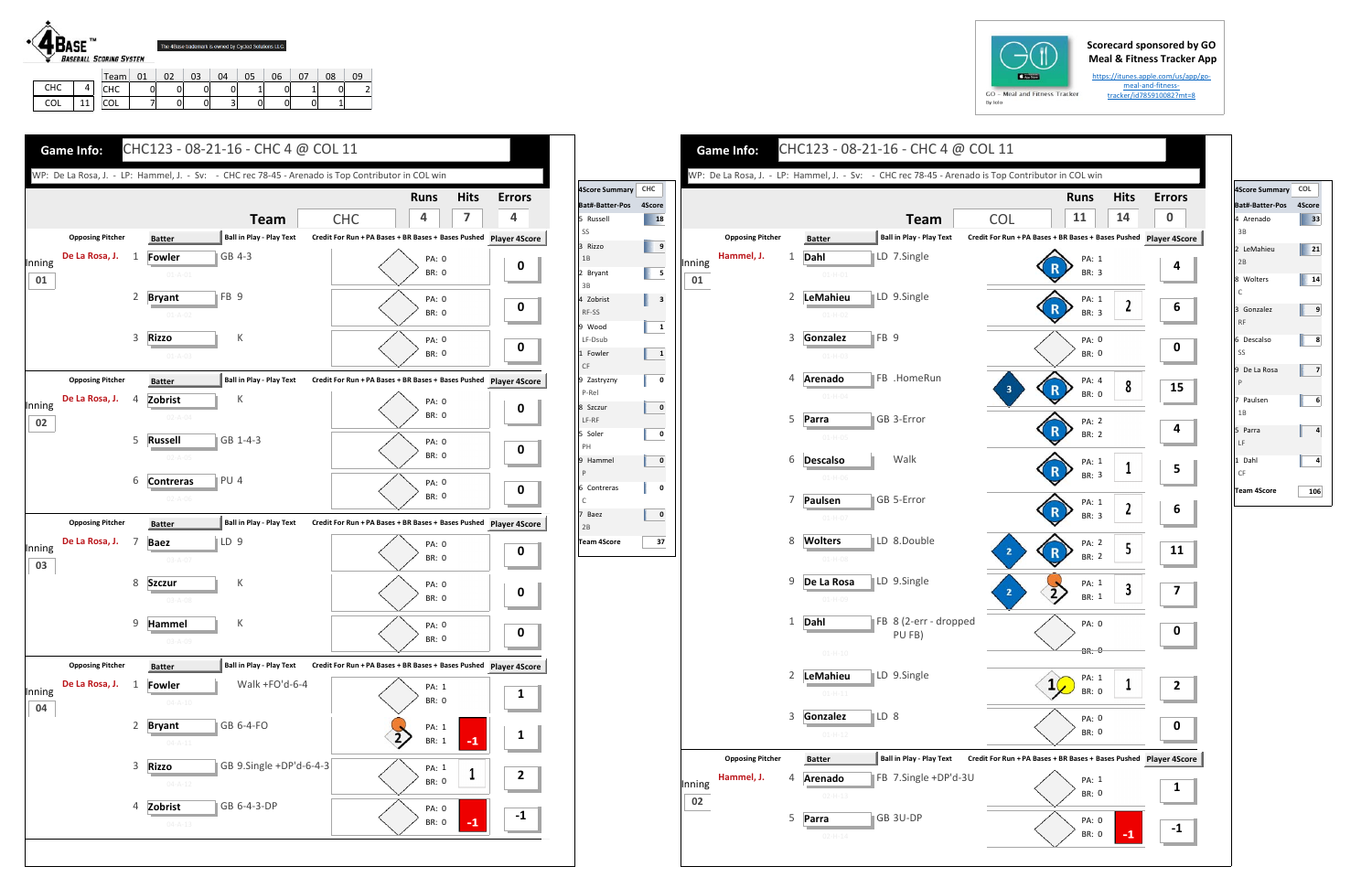## **Scorecard sponsored by GO Meal & Fitness Tracker App**

https://itunes.apple.com/us/app/go‐ meal‐and‐fitness‐ tracker/id785910082?mt=8

CHC | 0 | 0 | 0 | 0 | 1 | 0 | 1 | 0 | 2 COL 7 0 0 3 0 0 0 1

| $GO - M$ |
|----------|
| By Iolo  |

COLL | 11



|                                  |                | WP: De La Rosa, J. - LP: Hammel, J. - Sv: - CHC rec 78-45 - Arenado is Top Contributor in COL win |                                                                   |                      | 4Score Summary CHC                  |                              |              |                                       |   |                             | WP: De La Rosa, J. - LP: Hammel, J. - Sv: - CHC rec 78-45 - Arenado |            |
|----------------------------------|----------------|---------------------------------------------------------------------------------------------------|-------------------------------------------------------------------|----------------------|-------------------------------------|------------------------------|--------------|---------------------------------------|---|-----------------------------|---------------------------------------------------------------------|------------|
|                                  |                | <b>Team</b>                                                                                       | <b>Hits</b><br><b>Runs</b><br>7<br><b>CHC</b><br>4                | <b>Errors</b><br>4   | Bat#-Batter-Pos 4Score<br>5 Russell | <b>18</b>                    |              |                                       |   |                             | <b>Team</b>                                                         |            |
| <b>Opposing Pitcher</b>          |                | <b>Ball in Play - Play Text</b><br><b>Batter</b>                                                  | Credit For Run + PA Bases + BR Bases + Bases Pushed Player 4Score |                      | SS                                  |                              |              | <b>Opposing Pitcher</b>               |   | <b>Batter</b>               | <b>Ball in Play - Play Text</b>                                     | <b>Cre</b> |
| De La Rosa, J.<br>Inning<br>01   | 1              | GB 4-3<br><b>Fowler</b><br>$01 - A - 01$                                                          | PA: 0<br><b>BR: 0</b>                                             | $\mathbf 0$          | 3 Rizzo<br>1B<br>2 Bryant           | $\overline{\phantom{1}}$ 5   | Inning<br>01 | Hammel, J.                            | 1 | Dahl<br>$01 - H - 01$       | LD 7.Single                                                         |            |
|                                  | 2              | FB <sub>9</sub><br><b>Bryant</b><br>$01 - A - 02$                                                 | PA: 0<br><b>BR: 0</b>                                             | $\mathbf 0$          | 3B<br>4 Zobrist<br>RF-SS            | $\overline{\mathbf{3}}$      |              |                                       | 2 | LeMahieu<br>$01 - H - 02$   | LD 9.Single                                                         |            |
|                                  | 3              | К<br><b>Rizzo</b><br>$01 - A - 03$                                                                | <b>PA: 0</b><br><b>BR: 0</b>                                      | $\mathbf 0$          | 9 Wood<br>LF-Dsub<br>1 Fowler<br>CF | $\mathbf{1}$<br>$\mathbf{1}$ |              |                                       | 3 | Gonzalez<br>$01-H-03$       | FB <sub>9</sub>                                                     |            |
| <b>Opposing Pitcher</b>          |                | <b>Ball in Play - Play Text</b><br><b>Batter</b>                                                  | Credit For Run + PA Bases + BR Bases + Bases Pushed               | <b>Player 4Score</b> | 9 Zastryzny<br>P-Rel                | $\mathbf 0$                  |              |                                       | 4 | <b>Arenado</b>              | <b>FB</b> .HomeRun                                                  |            |
| De La Rosa, J.<br>Inning<br>02   | $\overline{4}$ | Zobrist<br>К<br>$02 - A - 04$                                                                     | PA: 0<br><b>BR: 0</b>                                             | $\mathbf 0$          | 8 Szczur<br>LF-RF                   | $\bf{0}$<br>$\mathbf{o}$     |              |                                       |   | $01 - H - 04$<br>5 Parra    | GB 3-Error                                                          |            |
|                                  |                | 5 Russell<br>$ GB 1-4-3$<br>$02 - A - 05$                                                         | PA: 0<br><b>BR: 0</b>                                             | $\mathbf{0}$         | 5 Soler<br>PH<br>9 Hammel           | $\mathbf{0}$                 |              |                                       |   | $01 - H - 05$<br>6 Descalso | Walk                                                                |            |
|                                  | 6              | PU 4<br><b>Contreras</b><br>$02 - A - 06$                                                         | <b>PA: 0</b><br><b>BR: 0</b>                                      | $\mathbf 0$          | P<br>6 Contreras<br>C               | 0                            |              |                                       | 7 | $01-H-06$<br>Paulsen        | GB 5-Error                                                          |            |
| <b>Opposing Pitcher</b>          |                | <b>Ball in Play - Play Text</b><br><b>Batter</b>                                                  | Credit For Run + PA Bases + BR Bases + Bases Pushed Player 4Score |                      | 7 Baez<br>2B                        | $\bf{0}$                     |              |                                       |   | $01 - H - 07$               |                                                                     |            |
| De La Rosa, J. 7<br>Inning<br>03 |                | ∥LD 9<br><b>Baez</b><br>$03 - A - 07$                                                             | PA: 0<br><b>BR: 0</b>                                             | 0                    | <b>Team 4Score</b>                  | 37                           |              |                                       |   | 8 Wolters<br>$01-H-08$      | LD 8.Double                                                         |            |
|                                  | 8              | К<br><b>Szczur</b><br>$03 - A - 08$                                                               | <b>PA: 0</b><br>BR: 0                                             | $\mathbf 0$          |                                     |                              |              |                                       |   | 9 De La Rosa<br>$01-H-09$   | LD 9.Single                                                         |            |
|                                  | 9              | К<br>Hammel<br>$03 - A - 09$                                                                      | PA: 0<br>BR: 0                                                    | $\mathbf 0$          |                                     |                              |              |                                       |   | 1 Dahl                      | FB 8 (2-err - dropped<br>PU FB)                                     |            |
| <b>Opposing Pitcher</b>          |                | <b>Ball in Play - Play Text</b><br><b>Batter</b>                                                  | Credit For Run + PA Bases + BR Bases + Bases Pushed               | <b>Player 4Score</b> |                                     |                              |              |                                       |   | $01 - H - 10$               |                                                                     |            |
| De La Rosa, J.<br>Inning<br>04   | 1              | Walk +FO'd-6-4<br>Fowler<br>$04 - A - 10$                                                         | PA: 1<br>BR: 0                                                    | $\mathbf{1}$         |                                     |                              |              |                                       |   | 2 LeMahieu<br>$01 - H - 11$ | LD 9.Single                                                         |            |
|                                  | $\overline{2}$ | GB 6-4-FO<br><b>Bryant</b><br>$04 - A - 11$                                                       | PA: 1<br>$-1$<br>BR: 1                                            | 1                    |                                     |                              |              |                                       |   | 3 Gonzalez<br>$01 - H - 12$ | LD 8                                                                |            |
|                                  | 3              | <b>Rizzo</b><br>GB 9.Single +DP'd-6-4-3<br>$04 - A - 12$                                          | PA: 1<br><b>BR: 0</b>                                             | $\overline{2}$       |                                     |                              | Inning       | <b>Opposing Pitcher</b><br>Hammel, J. | 4 | <b>Batter</b><br>Arenado    | Ball in Play - Play Text Cre<br>FB 7.Single +DP'd-3U                |            |
|                                  | 4              | Zobrist<br>GB 6-4-3-DP<br>$04 - A - 13$                                                           | PA: 0<br>$-1$<br>BR: 0                                            | $-1$                 |                                     |                              | 02           |                                       | 5 | $02 - H - 13$<br>Parra      | GB 3U-DP                                                            |            |





| 4Score Summary COL      |     |
|-------------------------|-----|
| Bat#-Batter-Pos 4Score  |     |
| 4 Arenado<br>3B         | 33  |
| 2 LeMahieu<br>2B        | 21  |
| 8 Wolters<br>Ċ          | 14  |
| 3 Gonzalez<br><b>RF</b> | 9   |
| 6 Descalso<br>SS        | 8   |
| 9 De La Rosa<br>P       | 7   |
| 7 Paulsen<br>1B         | 6   |
| 5 Parra<br>LF           | 4   |
| 1 Dahl<br>CF            | 4   |
| <b>Team 4Score</b>      | 106 |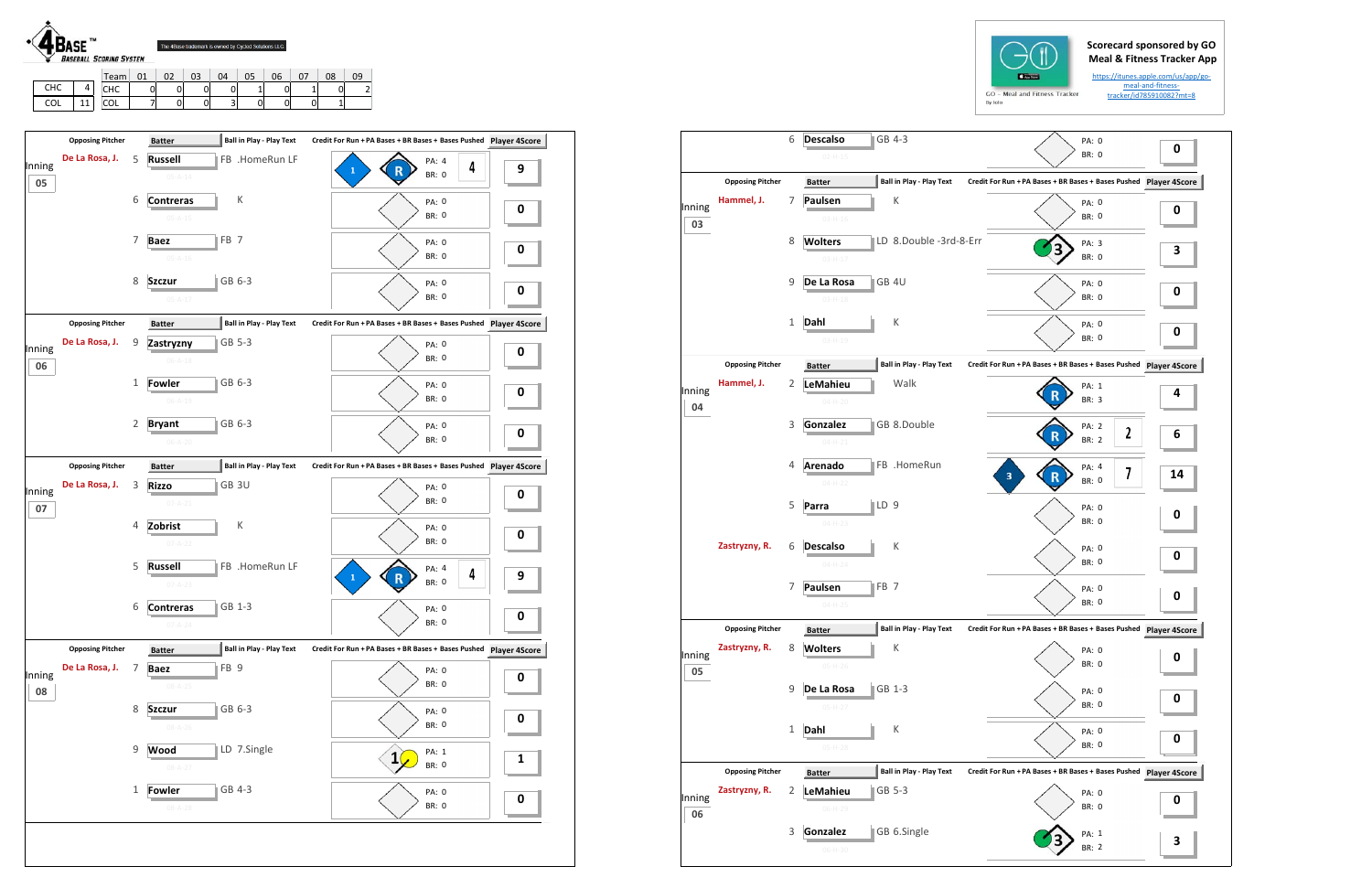## **Scorecard sponsored by GO Meal & Fitness Tracker App**

https://itunes.apple.com/us/app/go‐ meal‐and‐fitness‐ tracker/id785910082?mt=8



L | 11

COL 7 0 0 3 0 0 0 1

| <b>Opposing Pitcher</b>        |   | <b>Batter</b>                   | Ball in Play - Play Text        | Credit For Run + PA Bases + BR Bases + Bases Pushed Player 4Score          |                      |
|--------------------------------|---|---------------------------------|---------------------------------|----------------------------------------------------------------------------|----------------------|
| De La Rosa, J.<br>Inning<br>05 | 5 | <b>Russell</b><br>$05 - A - 14$ | FB .HomeRun LF                  | PA: 4<br>4<br>1<br><b>BR: 0</b>                                            | 9                    |
|                                | 6 | <b>Contreras</b>                | К                               | PA: 0                                                                      |                      |
|                                |   | $05 - A - 15$                   |                                 | <b>BR: 0</b>                                                               | 0                    |
|                                | 7 | <b>Baez</b>                     | FB <sub>7</sub>                 | <b>PA: 0</b>                                                               | 0                    |
|                                |   | $05 - A - 16$                   |                                 | <b>BR: 0</b>                                                               |                      |
|                                | 8 | <b>Szczur</b>                   | GB 6-3                          | PA: 0                                                                      | 0                    |
|                                |   | $05 - A - 17$                   |                                 | <b>BR: 0</b>                                                               |                      |
| <b>Opposing Pitcher</b>        |   | <b>Batter</b>                   | <b>Ball in Play - Play Text</b> | Credit For Run + PA Bases + BR Bases + Bases Pushed                        | <b>Player 4Score</b> |
| De La Rosa, J.<br>Inning<br>06 | 9 | Zastryzny<br>$06 - A - 18$      | GB 5-3                          | PA: 0<br><b>BR: 0</b>                                                      | 0                    |
|                                | 1 | Fowler                          | GB 6-3                          | PA: 0                                                                      |                      |
|                                |   | $06 - A - 19$                   |                                 | <b>BR: 0</b>                                                               | 0                    |
|                                | 2 | <b>Bryant</b>                   | GB 6-3                          | PA: 0                                                                      | 0                    |
|                                |   | $06 - A - 20$                   |                                 | <b>BR: 0</b>                                                               |                      |
| <b>Opposing Pitcher</b>        |   | <b>Batter</b>                   | Ball in Play - Play Text        | Credit For Run + PA Bases + BR Bases + Bases Pushed Player 4Score          |                      |
| De La Rosa, J.<br>Inning       | 3 | <b>Rizzo</b><br>$07 - A - 21$   | GB <sub>3U</sub>                | PA: 0<br><b>BR: 0</b>                                                      | 0                    |
| 07                             | 4 | Zobrist                         | К                               |                                                                            |                      |
|                                |   | $07 - A - 22$                   |                                 | PA: 0<br><b>BR: 0</b>                                                      | 0                    |
|                                | 5 | <b>Russell</b>                  | FB .HomeRun LF                  | PA: 4<br>4<br>$\mathbf{1}$<br>$\mathsf R$                                  | 9                    |
|                                |   | $07 - A - 23$                   |                                 | <b>BR: 0</b>                                                               |                      |
|                                | 6 | <b>Contreras</b>                | GB 1-3                          | PA: 0                                                                      | 0                    |
| <b>Opposing Pitcher</b>        |   |                                 | <b>Ball in Play - Play Text</b> | <b>BR: 0</b>                                                               |                      |
| De La Rosa, J.                 | 7 | <b>Batter</b><br><b>Baez</b>    | FB <sub>9</sub>                 | Credit For Run + PA Bases + BR Bases + Bases Pushed Player 4Score<br>PA: 0 |                      |
| 08                             |   | $08 - A - 25$                   |                                 | <b>BR: 0</b>                                                               | 0                    |
|                                | 8 | <b>Szczur</b>                   | GB 6-3                          | PA: 0                                                                      |                      |
|                                |   | $08 - A - 26$                   |                                 | <b>BR: 0</b>                                                               | 0                    |
|                                | 9 | Wood<br>$08 - A - 27$           | LD 7.Single                     | PA: 1<br>$\mathbf{1}$<br>BR: 0                                             | 1                    |
| Inning                         | 1 | <b>Fowler</b>                   | GB 4-3                          | PA: 0                                                                      | 0                    |